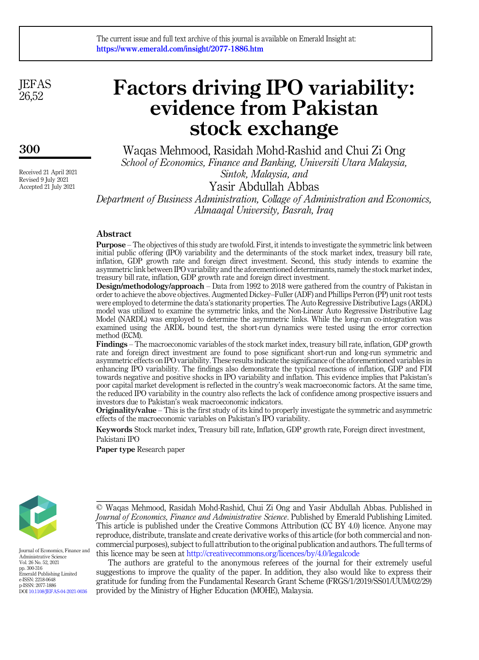**JEFAS** 26,52

300

Received 21 April 2021 Revised 9 July 2021 Accepted 21 July 2021

# Factors driving IPO variability: evidence from Pakistan stock exchange

Waqas Mehmood, Rasidah Mohd-Rashid and Chui Zi Ong School of Economics, Finance and Banking, Universiti Utara Malaysia, Sintok, Malaysia, and

Yasir Abdullah Abbas

Department of Business Administration, Collage of Administration and Economics, Almaaqal University, Basrah, Iraq

## Abstract

Purpose – The objectives of this study are twofold. First, it intends to investigate the symmetric link between initial public offering (IPO) variability and the determinants of the stock market index, treasury bill rate, inflation, GDP growth rate and foreign direct investment. Second, this study intends to examine the asymmetric link between IPO variability and the aforementioned determinants, namely the stock market index, treasury bill rate, inflation, GDP growth rate and foreign direct investment.

Design/methodology/approach – Data from 1992 to 2018 were gathered from the country of Pakistan in order to achieve the above objectives. Augmented Dickey–Fuller (ADF) and Phillips Perron (PP) unit root tests were employed to determine the data's stationarity properties. The Auto Regressive Distributive Lags (ARDL) model was utilized to examine the symmetric links, and the Non-Linear Auto Regressive Distributive Lag Model (NARDL) was employed to determine the asymmetric links. While the long-run co-integration was examined using the ARDL bound test, the short-run dynamics were tested using the error correction method (ECM).

Findings – The macroeconomic variables of the stock market index, treasury bill rate, inflation, GDP growth rate and foreign direct investment are found to pose significant short-run and long-run symmetric and asymmetric effects on IPO variability. These results indicate the significance of the aforementioned variables in enhancing IPO variability. The findings also demonstrate the typical reactions of inflation, GDP and FDI towards negative and positive shocks in IPO variability and inflation. This evidence implies that Pakistan's poor capital market development is reflected in the country's weak macroeconomic factors. At the same time, the reduced IPO variability in the country also reflects the lack of confidence among prospective issuers and investors due to Pakistan's weak macroeconomic indicators.

Originality/value – This is the first study of its kind to properly investigate the symmetric and asymmetric effects of the macroeconomic variables on Pakistan's IPO variability.

Keywords Stock market index, Treasury bill rate, Inflation, GDP growth rate, Foreign direct investment, Pakistani IPO

Paper type Research paper



Journal of Economics, Finance and Administrative Science Vol. 26 No. 52, 2021 pp. 300-316 Emerald Publishing Limited e-ISSN: 2218-0648 p-ISSN: 2077-1886 DOI [10.1108/JEFAS-04-2021-0036](https://doi.org/10.1108/JEFAS-04-2021-0036)

The authors are grateful to the anonymous referees of the journal for their extremely useful suggestions to improve the quality of the paper. In addition, they also would like to express their gratitude for funding from the Fundamental Research Grant Scheme (FRGS/1/2019/SS01/UUM/02/29) provided by the Ministry of Higher Education (MOHE), Malaysia.

<sup>©</sup> Waqas Mehmood, Rasidah Mohd-Rashid, Chui Zi Ong and Yasir Abdullah Abbas. Published in Journal of Economics, Finance and Administrative Science. Published by Emerald Publishing Limited. This article is published under the Creative Commons Attribution (CC BY 4.0) licence. Anyone may reproduce, distribute, translate and create derivative works of this article (for both commercial and noncommercial purposes), subject to full attribution to the original publication and authors. The full terms of this licence may be seen at <http://creativecommons.org/licences/by/4.0/legalcode>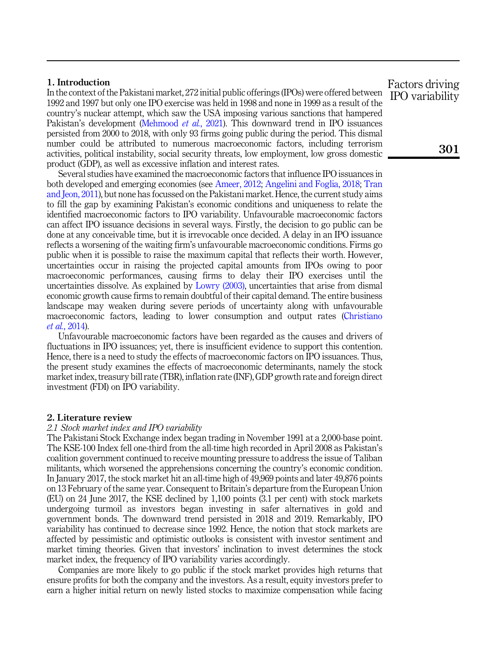## 1. Introduction

In the context of the Pakistani market, 272 initial public offerings (IPOs) were offered between 1992 and 1997 but only one IPO exercise was held in 1998 and none in 1999 as a result of the country's nuclear attempt, which saw the USA imposing various sanctions that hampered Pakistan's development [\(Mehmood](#page-16-0) et al., 2021). This downward trend in IPO issuances persisted from 2000 to 2018, with only 93 firms going public during the period. This dismal number could be attributed to numerous macroeconomic factors, including terrorism activities, political instability, social security threats, low employment, low gross domestic product (GDP), as well as excessive inflation and interest rates.

Several studies have examined the macroeconomic factors that influence IPO issuances in both developed and emerging economies (see [Ameer, 2012;](#page-14-0) [Angelini and Foglia, 2018;](#page-14-1) [Tran](#page-16-1) [and Jeon, 2011\)](#page-16-1), but none has focussed on the Pakistani market. Hence, the current study aims to fill the gap by examining Pakistan's economic conditions and uniqueness to relate the identified macroeconomic factors to IPO variability. Unfavourable macroeconomic factors can affect IPO issuance decisions in several ways. Firstly, the decision to go public can be done at any conceivable time, but it is irrevocable once decided. A delay in an IPO issuance reflects a worsening of the waiting firm's unfavourable macroeconomic conditions. Firms go public when it is possible to raise the maximum capital that reflects their worth. However, uncertainties occur in raising the projected capital amounts from IPOs owing to poor macroeconomic performances, causing firms to delay their IPO exercises until the uncertainties dissolve. As explained by [Lowry \(2003\),](#page-15-0) uncertainties that arise from dismal economic growth cause firms to remain doubtful of their capital demand. The entire business landscape may weaken during severe periods of uncertainty along with unfavourable macroeconomic factors, leading to lower consumption and output rates [\(Christiano](#page-15-1) et al.[, 2014\)](#page-15-1).

Unfavourable macroeconomic factors have been regarded as the causes and drivers of fluctuations in IPO issuances; yet, there is insufficient evidence to support this contention. Hence, there is a need to study the effects of macroeconomic factors on IPO issuances. Thus, the present study examines the effects of macroeconomic determinants, namely the stock market index, treasury bill rate (TBR), inflation rate (INF), GDP growth rate and foreign direct investment (FDI) on IPO variability.

#### 2. Literature review

#### 2.1 Stock market index and IPO variability

The Pakistani Stock Exchange index began trading in November 1991 at a 2,000-base point. The KSE-100 Index fell one-third from the all-time high recorded in April 2008 as Pakistan's coalition government continued to receive mounting pressure to address the issue of Taliban militants, which worsened the apprehensions concerning the country's economic condition. In January 2017, the stock market hit an all-time high of 49,969 points and later 49,876 points on 13 February of the same year. Consequent to Britain's departure from the European Union (EU) on 24 June 2017, the KSE declined by 1,100 points (3.1 per cent) with stock markets undergoing turmoil as investors began investing in safer alternatives in gold and government bonds. The downward trend persisted in 2018 and 2019. Remarkably, IPO variability has continued to decrease since 1992. Hence, the notion that stock markets are affected by pessimistic and optimistic outlooks is consistent with investor sentiment and market timing theories. Given that investors' inclination to invest determines the stock market index, the frequency of IPO variability varies accordingly.

Companies are more likely to go public if the stock market provides high returns that ensure profits for both the company and the investors. As a result, equity investors prefer to earn a higher initial return on newly listed stocks to maximize compensation while facing

Factors driving IPO variability

301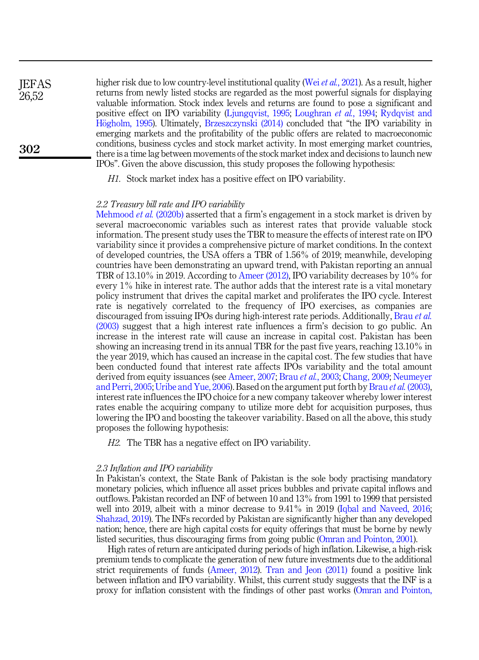higher risk due to low country-level institutional quality (Wei *et al.*[, 2021\)](#page-16-2). As a result, higher returns from newly listed stocks are regarded as the most powerful signals for displaying valuable information. Stock index levels and returns are found to pose a significant and positive effect on IPO variability ([Ljungqvist, 1995;](#page-15-2) [Loughran](#page-15-3) et al., 1994; [Rydqvist and](#page-16-3) [H](#page-16-3)ö[gholm, 1995](#page-16-3)). Ultimately, [Brzeszczynski \(2014\)](#page-15-4) concluded that "the IPO variability in emerging markets and the profitability of the public offers are related to macroeconomic conditions, business cycles and stock market activity. In most emerging market countries, there is a time lag between movements of the stock market index and decisions to launch new IPOs". Given the above discussion, this study proposes the following hypothesis: **IEFAS** 26,52 302

H1. Stock market index has a positive effect on IPO variability.

#### 2.2 Treasury bill rate and IPO variability

[Mehmood](#page-15-5) *et al.* (2020b) asserted that a firm's engagement in a stock market is driven by several macroeconomic variables such as interest rates that provide valuable stock information. The present study uses the TBR to measure the effects of interest rate on IPO variability since it provides a comprehensive picture of market conditions. In the context of developed countries, the USA offers a TBR of 1.56% of 2019; meanwhile, developing countries have been demonstrating an upward trend, with Pakistan reporting an annual TBR of 13.10% in 2019. According to [Ameer \(2012\)](#page-14-0), IPO variability decreases by 10% for every 1% hike in interest rate. The author adds that the interest rate is a vital monetary policy instrument that drives the capital market and proliferates the IPO cycle. Interest rate is negatively correlated to the frequency of IPO exercises, as companies are discouraged from issuing IPOs during high-interest rate periods. Additionally, [Brau](#page-14-2) et al. [\(2003\)](#page-14-2) suggest that a high interest rate influences a firm's decision to go public. An increase in the interest rate will cause an increase in capital cost. Pakistan has been showing an increasing trend in its annual TBR for the past five years, reaching 13.10% in the year 2019, which has caused an increase in the capital cost. The few studies that have been conducted found that interest rate affects IPOs variability and the total amount derived from equity issuances (see [Ameer, 2007;](#page-14-3) Brau et al.[, 2003](#page-14-2); [Chang, 2009](#page-15-6); [Neumeyer](#page-16-4) [and Perri, 2005;](#page-16-4) [Uribe and Yue, 2006](#page-16-5)). Based on the argument put forth by Brau et al. [\(2003\)](#page-14-2), interest rate influences the IPO choice for a new company takeover whereby lower interest rates enable the acquiring company to utilize more debt for acquisition purposes, thus lowering the IPO and boosting the takeover variability. Based on all the above, this study proposes the following hypothesis:

H2. The TBR has a negative effect on IPO variability.

#### 2.3 Inflation and IPO variability

In Pakistan's context, the State Bank of Pakistan is the sole body practising mandatory monetary policies, which influence all asset prices bubbles and private capital inflows and outflows. Pakistan recorded an INF of between 10 and 13% from 1991 to 1999 that persisted well into 2019, albeit with a minor decrease to 9.41% in 2019 [\(Iqbal and Naveed, 2016](#page-15-7); [Shahzad, 2019](#page-16-6)). The INFs recorded by Pakistan are significantly higher than any developed nation; hence, there are high capital costs for equity offerings that must be borne by newly listed securities, thus discouraging firms from going public ([Omran and Pointon, 2001](#page-16-7)).

High rates of return are anticipated during periods of high inflation. Likewise, a high-risk premium tends to complicate the generation of new future investments due to the additional strict requirements of funds [\(Ameer, 2012](#page-14-0)). [Tran and Jeon \(2011\)](#page-16-1) found a positive link between inflation and IPO variability. Whilst, this current study suggests that the INF is a proxy for inflation consistent with the findings of other past works ([Omran and Pointon,](#page-16-7)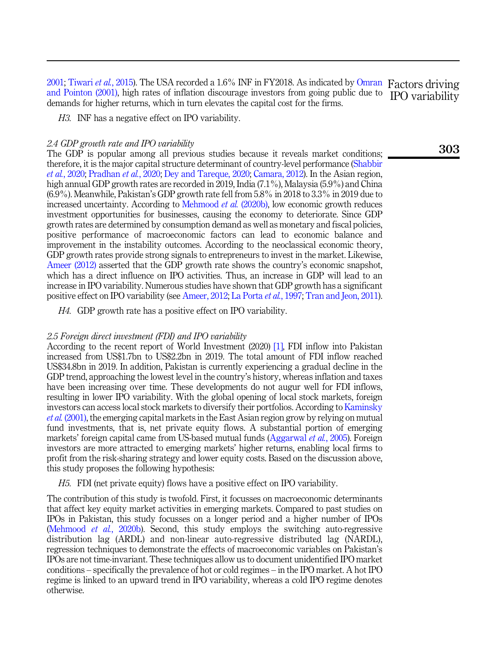[2001;](#page-16-7) [Tiwari](#page-16-8) et al., 2015). The USA recorded a 1.6% INF in FY2018. As indicated by [Omran](#page-16-7) Factors driving [and Pointon \(2001\),](#page-16-7) high rates of inflation discourage investors from going public due to IPO variability demands for higher returns, which in turn elevates the capital cost for the firms.

H3. INF has a negative effect on IPO variability.

## 2.4 GDP growth rate and IPO variability

The GDP is popular among all previous studies because it reveals market conditions; therefore, it is the major capital structure determinant of country-level performance [\(Shabbir](#page-16-9) et al.[, 2020](#page-16-9); [Pradhan](#page-16-10) et al., 2020; [Dey and Tareque, 2020](#page-15-8); [Camara, 2012\)](#page-15-9). In the Asian region, high annual GDP growth rates are recorded in 2019, India (7.1%), Malaysia (5.9%) and China (6.9%). Meanwhile, Pakistan's GDP growth rate fell from 5.8% in 2018 to 3.3% in 2019 due to increased uncertainty. According to [Mehmood](#page-15-5) *et al.* (2020b), low economic growth reduces investment opportunities for businesses, causing the economy to deteriorate. Since GDP growth rates are determined by consumption demand as well as monetary and fiscal policies, positive performance of macroeconomic factors can lead to economic balance and improvement in the instability outcomes. According to the neoclassical economic theory, GDP growth rates provide strong signals to entrepreneurs to invest in the market. Likewise, [Ameer \(2012\)](#page-14-0) asserted that the GDP growth rate shows the country's economic snapshot, which has a direct influence on IPO activities. Thus, an increase in GDP will lead to an increase in IPO variability. Numerous studies have shown that GDP growth has a significant positive effect on IPO variability (see [Ameer, 2012;](#page-14-0) [La Porta](#page-15-10) et al., 1997; [Tran and Jeon, 2011\)](#page-16-1).

H4. GDP growth rate has a positive effect on IPO variability.

## 2.5 Foreign direct investment (FDI) and IPO variability

According to the recent report of World Investment (2020) [\[1\]](#page-14-4), FDI inflow into Pakistan increased from US\$1.7bn to US\$2.2bn in 2019. The total amount of FDI inflow reached US\$34.8bn in 2019. In addition, Pakistan is currently experiencing a gradual decline in the GDP trend, approaching the lowest level in the country's history, whereas inflation and taxes have been increasing over time. These developments do not augur well for FDI inflows, resulting in lower IPO variability. With the global opening of local stock markets, foreign investors can access local stock markets to diversify their portfolios. According to [Kaminsky](#page-15-11) et al. [\(2001\),](#page-15-11) the emerging capital markets in the East Asian region grow by relying on mutual fund investments, that is, net private equity flows. A substantial portion of emerging markets' foreign capital came from US-based mutual funds ([Aggarwal](#page-14-5) *et al.*, 2005). Foreign investors are more attracted to emerging markets' higher returns, enabling local firms to profit from the risk-sharing strategy and lower equity costs. Based on the discussion above, this study proposes the following hypothesis:

H5. FDI (net private equity) flows have a positive effect on IPO variability.

The contribution of this study is twofold. First, it focusses on macroeconomic determinants that affect key equity market activities in emerging markets. Compared to past studies on IPOs in Pakistan, this study focusses on a longer period and a higher number of IPOs ([Mehmood](#page-15-5) *et al.*, 2020b). Second, this study employs the switching auto-regressive distribution lag (ARDL) and non-linear auto-regressive distributed lag (NARDL), regression techniques to demonstrate the effects of macroeconomic variables on Pakistan's IPOs are not time-invariant. These techniques allow us to document unidentified IPO market conditions – specifically the prevalence of hot or cold regimes – in the IPO market. A hot IPO regime is linked to an upward trend in IPO variability, whereas a cold IPO regime denotes otherwise.

303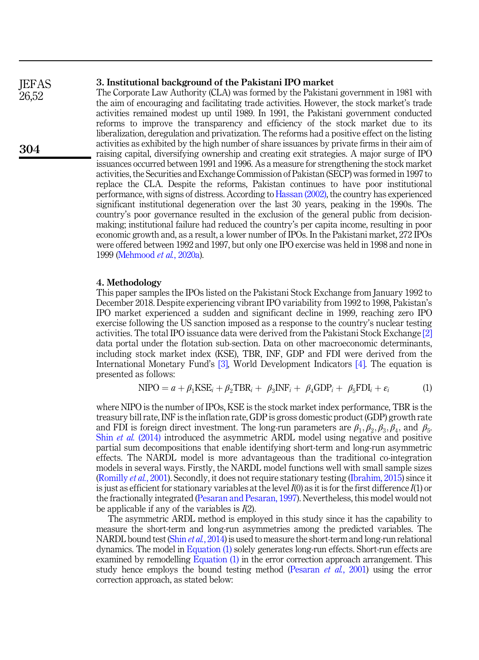## 3. Institutional background of the Pakistani IPO market

The Corporate Law Authority (CLA) was formed by the Pakistani government in 1981 with the aim of encouraging and facilitating trade activities. However, the stock market's trade activities remained modest up until 1989. In 1991, the Pakistani government conducted reforms to improve the transparency and efficiency of the stock market due to its liberalization, deregulation and privatization. The reforms had a positive effect on the listing activities as exhibited by the high number of share issuances by private firms in their aim of raising capital, diversifying ownership and creating exit strategies. A major surge of IPO issuances occurred between 1991 and 1996. As a measure for strengthening the stock market activities, the Securities and Exchange Commission of Pakistan (SECP) was formed in 1997 to replace the CLA. Despite the reforms, Pakistan continues to have poor institutional performance, with signs of distress. According to [Hassan \(2002\)](#page-15-12), the country has experienced significant institutional degeneration over the last 30 years, peaking in the 1990s. The country's poor governance resulted in the exclusion of the general public from decisionmaking; institutional failure had reduced the country's per capita income, resulting in poor economic growth and, as a result, a lower number of IPOs. In the Pakistani market, 272 IPOs were offered between 1992 and 1997, but only one IPO exercise was held in 1998 and none in 1999 ([Mehmood](#page-15-13) et al., 2020a).

## 4. Methodology

This paper samples the IPOs listed on the Pakistani Stock Exchange from January 1992 to December 2018. Despite experiencing vibrant IPO variability from 1992 to 1998, Pakistan's IPO market experienced a sudden and significant decline in 1999, reaching zero IPO exercise following the US sanction imposed as a response to the country's nuclear testing activities. The total IPO issuance data were derived from the Pakistani Stock Exchange [\[2\]](#page-14-6) data portal under the flotation sub-section. Data on other macroeconomic determinants, including stock market index (KSE), TBR, INF, GDP and FDI were derived from the International Monetary Fund's [\[3\],](#page-14-7) World Development Indicators [\[4\]](#page-14-8). The equation is presented as follows:

$$
\text{NIFO} = a + \beta_1 \text{KSE}_i + \beta_2 \text{TBR}_i + \beta_3 \text{INF}_i + \beta_4 \text{GDP}_i + \beta_5 \text{FDI}_i + \varepsilon_i \tag{1}
$$

<span id="page-4-0"></span>where NIPO is the number of IPOs, KSE is the stock market index performance, TBR is the treasury bill rate, INF is the inflation rate, GDP is gross domestic product (GDP) growth rate and FDI is foreign direct investment. The long-run parameters are  $\beta_1, \beta_2, \beta_3, \beta_4$ , and  $\beta_5$ . Shin et al. [\(2014\)](#page-16-11) introduced the asymmetric ARDL model using negative and positive partial sum decompositions that enable identifying short-term and long-run asymmetric effects. The NARDL model is more advantageous than the traditional co-integration models in several ways. Firstly, the NARDL model functions well with small sample sizes ([Romilly](#page-16-12) et al., 2001). Secondly, it does not require stationary testing [\(Ibrahim, 2015\)](#page-15-14) since it is just as efficient for stationary variables at the level  $I(0)$  as it is for the first difference  $I(1)$  or the fractionally integrated [\(Pesaran and Pesaran, 1997\)](#page-16-13). Nevertheless, this model would not be applicable if any of the variables is  $I(2)$ .

<span id="page-4-1"></span>The asymmetric ARDL method is employed in this study since it has the capability to measure the short-term and long-run asymmetries among the predicted variables. The NARDL bound test (Shin et al.[, 2014](#page-16-11)) is used to measure the short-term and long-run relational dynamics. The model in [Equation \(1\)](#page-4-0) solely generates long-run effects. Short-run effects are examined by remodelling [Equation \(1\)](#page-4-0) in the error correction approach arrangement. This study hence employs the bound testing method ([Pesaran](#page-16-14) *et al.*, 2001) using the error correction approach, as stated below:

**IEFAS** 26,52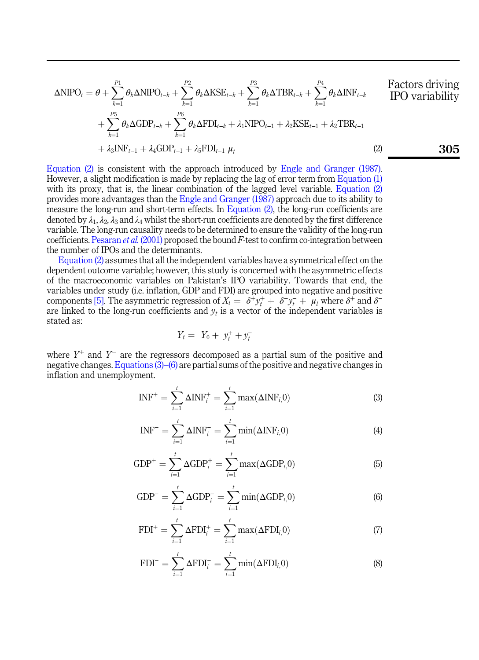$$
\Delta \text{NIPO}_{t} = \theta + \sum_{k=1}^{P_1} \theta_k \Delta \text{NIPO}_{t-k} + \sum_{k=1}^{P_2} \theta_k \Delta \text{KSE}_{t-k} + \sum_{k=1}^{P_3} \theta_k \Delta \text{TBR}_{t-k} + \sum_{k=1}^{P_4} \theta_k \Delta \text{INF}_{t-k}
$$
\nFactors driving\n
$$
+ \sum_{k=1}^{P_5} \theta_k \Delta \text{GDP}_{t-k} + \sum_{k=1}^{P_6} \theta_k \Delta \text{FDI}_{t-k} + \lambda_1 \text{NIPO}_{t-1} + \lambda_2 \text{KSE}_{t-1} + \lambda_2 \text{TBR}_{t-1}
$$
\n
$$
+ \lambda_3 \text{INF}_{t-1} + \lambda_4 \text{GDP}_{t-1} + \lambda_5 \text{FDI}_{t-1} \mu_t
$$
\n(2)

[Equation \(2\)](#page-4-1) is consistent with the approach introduced by [Engle and Granger \(1987\)](#page-15-15). However, a slight modification is made by replacing the lag of error term from [Equation \(1\)](#page-4-0) with its proxy, that is, the linear combination of the lagged level variable. [Equation \(2\)](#page-4-1) provides more advantages than the [Engle and Granger \(1987\)](#page-15-15) approach due to its ability to measure the long-run and short-term effects. In [Equation \(2\)](#page-4-1), the long-run coefficients are denoted by  $\lambda_1, \lambda_2, \lambda_3$  and  $\lambda_4$  whilst the short-run coefficients are denoted by the first difference variable. The long-run causality needs to be determined to ensure the validity of the long-run coefficients. [Pesaran](#page-16-14) *et al.* (2001) proposed the bound  $F$ -test to confirm co-integration between the number of IPOs and the determinants.

[Equation \(2\)](#page-4-1) assumes that all the independent variables have a symmetrical effect on the dependent outcome variable; however, this study is concerned with the asymmetric effects of the macroeconomic variables on Pakistan's IPO variability. Towards that end, the variables under study (i.e. inflation, GDP and FDI) are grouped into negative and positive of the macroeconomic variables on Pakistan's IPO variability. Towards that end, the variables under study (i.e. inflation, GDP and FDI) are grouped into negative and positive components [\[5\].](#page-14-9) The asymmetric regression of are linked to the long-run coefficients and  $y_t$  is a vector of the independent variables is stated as:<br>  $Y_t = Y_0 + y_t^+ + y_t^$ stated as:

$$
Y_t = Y_0 + y_t^+ + y_t^-
$$

<span id="page-5-0"></span>where  $Y^+$  and  $Y^-$  are the regressors decomposed as a partial sum of the positive and negative changes. [Equations \(3\)](#page-5-0)–[\(6\)](#page-5-0) are partial sums of the positive and negative changes in inflation and unemployment.

$$
INF^{+} = \sum_{i=1}^{t} \Delta INF_{i}^{+} = \sum_{i=1}^{t} \max(\Delta INF_{i,0})
$$
\n(3)

$$
INF^{-} = \sum_{i=1}^{t} \Delta INF_i^{-} = \sum_{i=1}^{t} \min(\Delta INF_{i,0})
$$
\n(4)

$$
GDP^{+} = \sum_{i=1}^{t} \Delta GDP_{i}^{+} = \sum_{i=1}^{t} \max(\Delta GDP_{i,}0)
$$
\n(5)

$$
GDP^{-} = \sum_{i=1}^{t} \Delta GDP_{i}^{-} = \sum_{i=1}^{t} \min(\Delta GDP_{i,0})
$$
(6)

<span id="page-5-1"></span>
$$
\text{FDI}^+ = \sum_{i=1}^t \Delta \text{FDI}_i^+ = \sum_{i=1}^t \max(\Delta \text{FDI}_{i,0}) \tag{7}
$$

<span id="page-5-2"></span>
$$
\text{FDI}^{-} = \sum_{i=1}^{t} \Delta \text{FDI}_{i}^{-} = \sum_{i=1}^{t} \min(\Delta \text{FDI}_{i,}0)
$$
(8)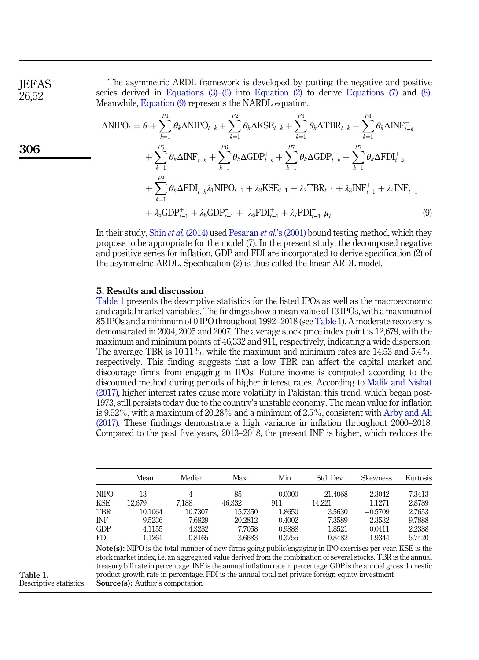**IEFAS** 26,52

306

The asymmetric ARDL framework is developed by putting the negative and positive series derived in Equations  $(3)$ – $(6)$  into [Equation \(2\)](#page-4-1) to derive [Equations \(7\)](#page-5-1) and [\(8\)](#page-5-2). Meanwhile, [Equation \(9\)](#page-6-0) represents the NARDL equation.

<span id="page-6-0"></span>
$$
\Delta NIPO_{t} = \theta + \sum_{k=1}^{P1} \theta_{k} \Delta NIPO_{t-k} + \sum_{k=1}^{P2} \theta_{k} \Delta KSE_{t-k} + \sum_{k=1}^{P3} \theta_{k} \Delta TBR_{t-k} + \sum_{k=1}^{P4} \theta_{k} \Delta INF_{t-k}^{+} \n+ \sum_{k=1}^{P5} \theta_{k} \Delta INF_{t-k}^{-} + \sum_{k=1}^{P6} \theta_{k} \Delta GDP_{t-k}^{+} + \sum_{k=1}^{P7} \theta_{k} \Delta GDP_{t-k}^{-} + \sum_{k=1}^{P7} \theta_{k} \Delta FDI_{t-k}^{+} \n+ \sum_{k=1}^{P8} \theta_{k} \Delta FDI_{t-k}^{-} \lambda_{1} NIFO_{t-1} + \lambda_{2} KSE_{t-1} + \lambda_{2} TBR_{t-1} + \lambda_{3} INF_{t-1}^{+} + \lambda_{4} INF_{t-1}^{-} \n+ \lambda_{5} GDP_{t-1}^{+} + \lambda_{6} GDP_{t-1}^{-} + \lambda_{6} FDI_{t-1}^{+} + \lambda_{7} FDI_{t-1}^{-} \mu_{t}
$$
\n(9)

In their study, Shin *et al.* [\(2014\)](#page-16-11) used [Pesaran](#page-16-14) *et al.*'s (2001) bound testing method, which they propose to be appropriate for the model (7). In the present study, the decomposed negative and positive series for inflation, GDP and FDI are incorporated to derive specification (2) of the asymmetric ARDL. Specification (2) is thus called the linear ARDL model.

## 5. Results and discussion

Table 1 presents the descriptive statistics for the listed IPOs as well as the macroeconomic and capital market variables. The findings show a mean value of 13 IPOs, with a maximum of 85 IPOs and a minimum of 0 IPO throughout 1992–2018 (see Table 1). A moderate recovery is demonstrated in 2004, 2005 and 2007. The average stock price index point is 12,679, with the maximum and minimum points of 46,332 and 911, respectively, indicating a wide dispersion. The average TBR is 10.11%, while the maximum and minimum rates are 14.53 and 5.4%, respectively. This finding suggests that a low TBR can affect the capital market and discourage firms from engaging in IPOs. Future income is computed according to the discounted method during periods of higher interest rates. According to [Malik and Nishat](#page-15-16) [\(2017\),](#page-15-16) higher interest rates cause more volatility in Pakistan; this trend, which began post-1973, still persists today due to the country's unstable economy. The mean value for inflation is 9.52%, with a maximum of 20.28% and a minimum of 2.5%, consistent with [Arby and Ali](#page-14-10) [\(2017\).](#page-14-10) These findings demonstrate a high variance in inflation throughout 2000–2018. Compared to the past five years, 2013–2018, the present INF is higher, which reduces the

|             | Mean    | Median  | Max     | Min    | Std. Dev | <b>Skewness</b> | Kurtosis |
|-------------|---------|---------|---------|--------|----------|-----------------|----------|
| <b>NIPO</b> | 13      | 4       | 85      | 0.0000 | 21.4068  | 2.3042          | 7.3413   |
| <b>KSE</b>  | 12.679  | 7,188   | 46.332  | 911    | 14.221   | 1.1271          | 2.8789   |
| <b>TBR</b>  | 10.1064 | 10.7307 | 15.7350 | 1.8650 | 3.5630   | $-0.5709$       | 2.7653   |
| INF         | 9.5236  | 7.6829  | 20.2812 | 0.4002 | 7.3589   | 2.3532          | 9.7888   |
| <b>GDP</b>  | 4.1155  | 4.3282  | 7.7058  | 0.9888 | 1.8521   | 0.0411          | 2.2388   |
| <b>FDI</b>  | 1.1261  | 0.8165  | 3.6683  | 0.3755 | 0.8482   | 1.9344          | 5.7420   |

Note(s): NIPO is the total number of new firms going public/engaging in IPO exercises per year. KSE is the stock market index, i.e. an aggregated value derived from the combination of several stocks. TBR is the annual treasury bill rate in percentage. INF is the annual inflation rate in percentage. GDP is the annual gross domestic product growth rate in percentage. FDI is the annual total net private foreign equity investment Source(s): Author's computation

Table 1. Descriptive statistics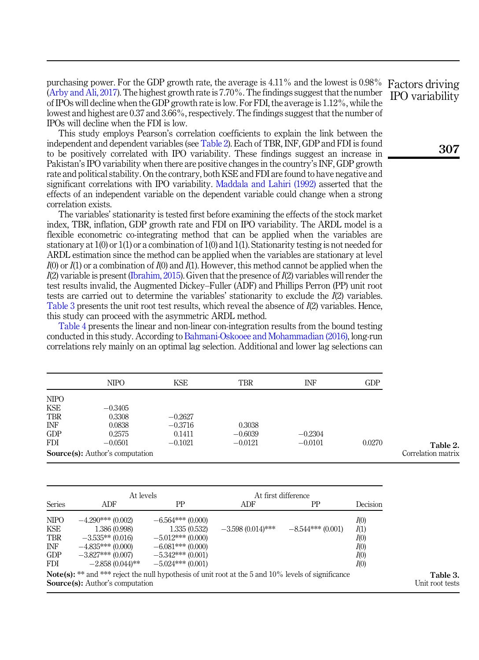purchasing power. For the GDP growth rate, the average is 4.11% and the lowest is 0.98% ([Arby and Ali, 2017\)](#page-14-10). The highest growth rate is 7.70%. The findings suggest that the number of IPOs will decline when the GDP growth rate is low. For FDI, the average is 1.12%, while the lowest and highest are 0.37 and 3.66%, respectively. The findings suggest that the number of IPOs will decline when the FDI is low.

This study employs Pearson's correlation coefficients to explain the link between the independent and dependent variables (see Table 2). Each of TBR, INF, GDP and FDI is found to be positively correlated with IPO variability. These findings suggest an increase in Pakistan's IPO variability when there are positive changes in the country's INF, GDP growth rate and political stability. On the contrary, both KSE and FDI are found to have negative and significant correlations with IPO variability. [Maddala and Lahiri \(1992\)](#page-15-17) asserted that the effects of an independent variable on the dependent variable could change when a strong correlation exists.

The variables' stationarity is tested first before examining the effects of the stock market index, TBR, inflation, GDP growth rate and FDI on IPO variability. The ARDL model is a flexible econometric co-integrating method that can be applied when the variables are stationary at 1(0) or 1(1) or a combination of 1(0) and 1(1). Stationarity testing is not needed for ARDL estimation since the method can be applied when the variables are stationary at level  $I(0)$  or  $I(1)$  or a combination of  $I(0)$  and  $I(1)$ . However, this method cannot be applied when the  $I(2)$  variable is present ([Ibrahim, 2015](#page-15-14)). Given that the presence of  $I(2)$  variables will render the test results invalid, the Augmented Dickey–Fuller (ADF) and Phillips Perron (PP) unit root tests are carried out to determine the variables' stationarity to exclude the I(2) variables. Table 3 presents the unit root test results, which reveal the absence of  $I(2)$  variables. Hence, this study can proceed with the asymmetric ARDL method.

[Table 4](#page-8-0) presents the linear and non-linear con-integration results from the bound testing conducted in this study. According to [Bahmani-Oskooee and Mohammadian \(2016\)](#page-14-11), long-run correlations rely mainly on an optimal lag selection. Additional and lower lag selections can

|             | <b>NIPO</b>                             | <b>KSE</b> | <b>TBR</b> | INF       | <b>GDP</b> |
|-------------|-----------------------------------------|------------|------------|-----------|------------|
| <b>NIPO</b> |                                         |            |            |           |            |
| <b>KSE</b>  | $-0.3405$                               |            |            |           |            |
| <b>TBR</b>  | 0.3308                                  | $-0.2627$  |            |           |            |
| INF         | 0.0838                                  | $-0.3716$  | 0.3038     |           |            |
| <b>GDP</b>  | 0.2575                                  | 0.1411     | $-0.6039$  | $-0.2304$ |            |
| <b>FDI</b>  | $-0.0501$                               | $-0.1021$  | $-0.0121$  | $-0.0101$ | 0.0270     |
|             | <b>Source</b> (s): Author's computation |            |            |           |            |

|                                                | At levels                                                                                                                                               |                                                                                                      | At first difference |                    |                                      |
|------------------------------------------------|---------------------------------------------------------------------------------------------------------------------------------------------------------|------------------------------------------------------------------------------------------------------|---------------------|--------------------|--------------------------------------|
| <b>Series</b>                                  | ADF                                                                                                                                                     | PP                                                                                                   | ADF                 | PP                 | Decision                             |
| <b>NIPO</b><br>KSE<br><b>TBR</b><br>INF<br>GDP | $-4.290***(0.002)$<br>1.386 (0.998)<br>$-3.535**$ (0.016)<br>$-4.835***(0.000)$<br>$-3.827***(0.007)$                                                   | $-6.564***(0.000)$<br>1.335(0.532)<br>$-5.012***(0.000)$<br>$-6.081***(0.000)$<br>$-5.342***(0.001)$ | $-3.598(0.014)$ *** | $-8.544***(0.001)$ | I(0)<br>I(1)<br>I(0)<br>I(0)<br>I(0) |
| <b>FDI</b>                                     | $-2.858(0.044)$ **                                                                                                                                      | $-5.024***(0.001)$                                                                                   |                     |                    | I(0)                                 |
|                                                | <b>Note(s):</b> ** and *** reject the null hypothesis of unit root at the 5 and $10\%$ levels of significance<br><b>Source(s):</b> Author's computation |                                                                                                      |                     |                    |                                      |

Factors driving IPO variability

307

Table 3. Unit root tests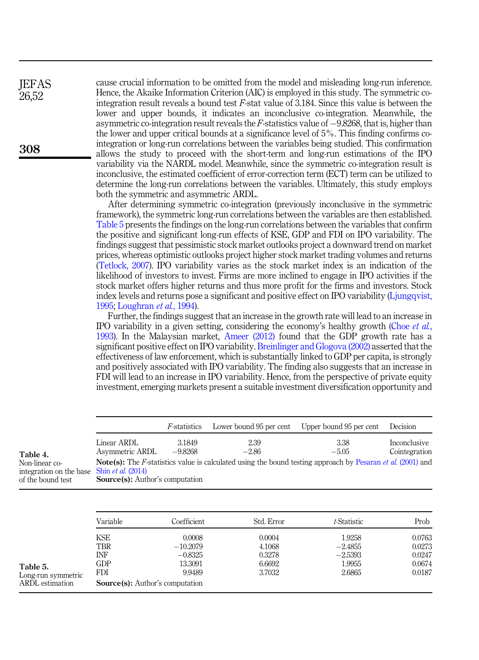cause crucial information to be omitted from the model and misleading long-run inference. Hence, the Akaike Information Criterion (AIC) is employed in this study. The symmetric cointegration result reveals a bound test F-stat value of 3.184. Since this value is between the lower and upper bounds, it indicates an inconclusive co-integration. Meanwhile, the asymmetric co-integration result reveals the F-statistics value of  $-9.8268$ , that is, higher than the lower and upper critical bounds at a significance level of 5%. This finding confirms cointegration or long-run correlations between the variables being studied. This confirmation allows the study to proceed with the short-term and long-run estimations of the IPO variability via the NARDL model. Meanwhile, since the symmetric co-integration result is inconclusive, the estimated coefficient of error-correction term (ECT) term can be utilized to determine the long-run correlations between the variables. Ultimately, this study employs both the symmetric and asymmetric ARDL.

After determining symmetric co-integration (previously inconclusive in the symmetric framework), the symmetric long-run correlations between the variables are then established. Table 5 presents the findings on the long-run correlations between the variables that confirm the positive and significant long-run effects of KSE, GDP and FDI on IPO variability. The findings suggest that pessimistic stock market outlooks project a downward trend on market prices, whereas optimistic outlooks project higher stock market trading volumes and returns ([Tetlock, 2007\)](#page-16-15). IPO variability varies as the stock market index is an indication of the likelihood of investors to invest. Firms are more inclined to engage in IPO activities if the stock market offers higher returns and thus more profit for the firms and investors. Stock index levels and returns pose a significant and positive effect on IPO variability [\(Ljungqvist,](#page-15-2) [1995;](#page-15-2) [Loughran](#page-15-3) et al., 1994).

Further, the findings suggest that an increase in the growth rate will lead to an increase in IPO variability in a given setting, considering the economy's healthy growth [\(Choe](#page-15-18) et al., [1993\)](#page-15-18). In the Malaysian market, [Ameer \(2012\)](#page-14-0) found that the GDP growth rate has a significant positive effect on IPO variability. [Breinlinger and Glogova \(2002\)](#page-14-12) asserted that the effectiveness of law enforcement, which is substantially linked to GDP per capita, is strongly and positively associated with IPO variability. The finding also suggests that an increase in FDI will lead to an increase in IPO variability. Hence, from the perspective of private equity investment, emerging markets present a suitable investment diversification opportunity and

|                                                                                          |                                         | <i>F</i> -statistics | Lower bound 95 per cent                                                                                                   | Upper bound 95 per cent | Decision                      |
|------------------------------------------------------------------------------------------|-----------------------------------------|----------------------|---------------------------------------------------------------------------------------------------------------------------|-------------------------|-------------------------------|
| Table 4.                                                                                 | Linear ARDL<br>Asymmetric ARDL          | 3.1849<br>$-9.8268$  | 2.39<br>$-2.86$                                                                                                           | 3.38<br>$-5.05$         | Inconclusive<br>Cointegration |
| Non-linear co-<br>integration on the base Shin <i>et al.</i> (2014)<br>of the bound test | <b>Source</b> (s): Author's computation |                      | <b>Note(s):</b> The F-statistics value is calculated using the bound testing approach by Pesaran <i>et al.</i> (2001) and |                         |                               |

|                                | Variable          | Coefficient                            | Std. Error       | t-Statistic         | Prob             |
|--------------------------------|-------------------|----------------------------------------|------------------|---------------------|------------------|
|                                | <b>KSE</b><br>TBR | 0.0008<br>$-10.2079$                   | 0.0004<br>4.1068 | 1.9258<br>$-2.4855$ | 0.0763<br>0.0273 |
|                                | INF               | $-0.8325$                              | 0.3278           | $-2.5393$           | 0.0247           |
| Table 5.<br>Long-run symmetric | <b>GDP</b><br>FDI | 13.3091<br>9.9489                      | 6.6692<br>3.7032 | 1.9955<br>2.6865    | 0.0674<br>0.0187 |
| ARDL estimation                |                   | <b>Source(s):</b> Author's computation |                  |                     |                  |

<span id="page-8-0"></span>**IEFAS** 26,52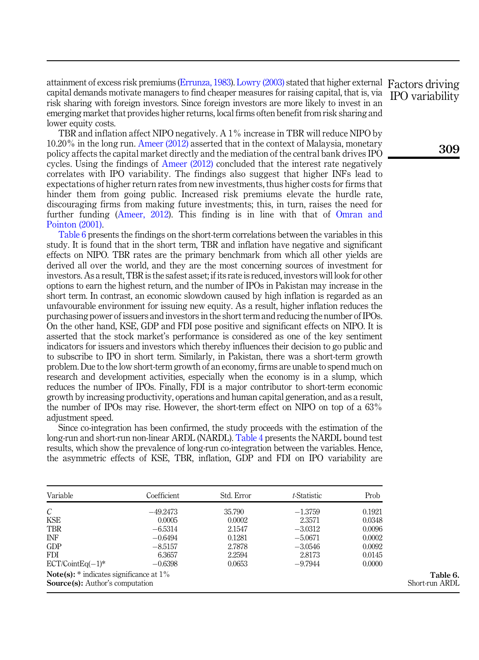attainment of excess risk premiums [\(Errunza, 1983\)](#page-15-19). [Lowry \(2003\)](#page-15-0) stated that higher external Factors driving capital demands motivate managers to find cheaper measures for raising capital, that is, via risk sharing with foreign investors. Since foreign investors are more likely to invest in an emerging market that provides higher returns, local firms often benefit from risk sharing and lower equity costs.

TBR and inflation affect NIPO negatively. A 1% increase in TBR will reduce NIPO by 10.20% in the long run. [Ameer \(2012\)](#page-14-0) asserted that in the context of Malaysia, monetary policy affects the capital market directly and the mediation of the central bank drives IPO cycles. Using the findings of [Ameer \(2012\)](#page-14-0) concluded that the interest rate negatively correlates with IPO variability. The findings also suggest that higher INFs lead to expectations of higher return rates from new investments, thus higher costs for firms that hinder them from going public. Increased risk premiums elevate the hurdle rate, discouraging firms from making future investments; this, in turn, raises the need for further funding [\(Ameer, 2012\)](#page-14-0). This finding is in line with that of [Omran and](#page-16-7) [Pointon \(2001\)](#page-16-7).

Table 6 presents the findings on the short-term correlations between the variables in this study. It is found that in the short term, TBR and inflation have negative and significant effects on NIPO. TBR rates are the primary benchmark from which all other yields are derived all over the world, and they are the most concerning sources of investment for investors. As a result, TBR is the safest asset; if its rate is reduced, investors will look for other options to earn the highest return, and the number of IPOs in Pakistan may increase in the short term. In contrast, an economic slowdown caused by high inflation is regarded as an unfavourable environment for issuing new equity. As a result, higher inflation reduces the purchasing power of issuers and investors in the short term and reducing the number of IPOs. On the other hand, KSE, GDP and FDI pose positive and significant effects on NIPO. It is asserted that the stock market's performance is considered as one of the key sentiment indicators for issuers and investors which thereby influences their decision to go public and to subscribe to IPO in short term. Similarly, in Pakistan, there was a short-term growth problem. Due to the low short-term growth of an economy, firms are unable to spend much on research and development activities, especially when the economy is in a slump, which reduces the number of IPOs. Finally, FDI is a major contributor to short-term economic growth by increasing productivity, operations and human capital generation, and as a result, the number of IPOs may rise. However, the short-term effect on NIPO on top of a 63% adjustment speed.

Since co-integration has been confirmed, the study proceeds with the estimation of the long-run and short-run non-linear ARDL (NARDL). [Table 4](#page-8-0) presents the NARDL bound test results, which show the prevalence of long-run co-integration between the variables. Hence, the asymmetric effects of KSE, TBR, inflation, GDP and FDI on IPO variability are

| Variable                                                                                      | Coefficient | Std. Error | t-Statistic | Prob   |
|-----------------------------------------------------------------------------------------------|-------------|------------|-------------|--------|
| C                                                                                             | $-49.2473$  | 35.790     | $-1.3759$   | 0.1921 |
| <b>KSE</b>                                                                                    | 0.0005      | 0.0002     | 2.3571      | 0.0348 |
| <b>TBR</b>                                                                                    | $-6.5314$   | 2.1547     | $-3.0312$   | 0.0096 |
| <b>INF</b>                                                                                    | $-0.6494$   | 0.1281     | $-5.0671$   | 0.0002 |
| GDP                                                                                           | $-8.5157$   | 2.7878     | $-3.0546$   | 0.0092 |
| <b>FDI</b>                                                                                    | 6.3657      | 2.2594     | 2.8173      | 0.0145 |
| $ECT/CointEq(-1)*$                                                                            | $-0.6398$   | 0.0653     | $-9.7944$   | 0.0000 |
| <b>Note(s):</b> $*$ indicates significance at $1\%$<br><b>Source(s):</b> Author's computation |             |            |             |        |

IPO variability

309

Table 6. Short-run ARDL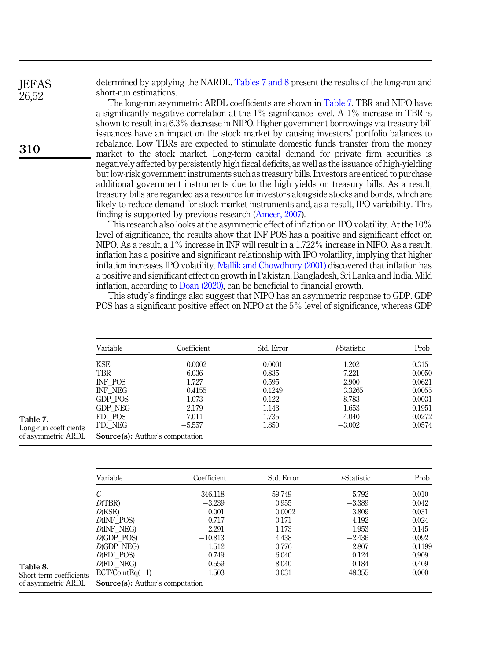determined by applying the NARDL. Tables 7 and 8 present the results of the long-run and short-run estimations.

The long-run asymmetric ARDL coefficients are shown in Table 7. TBR and NIPO have a significantly negative correlation at the 1% significance level. A 1% increase in TBR is shown to result in a 6.3% decrease in NIPO. Higher government borrowings via treasury bill issuances have an impact on the stock market by causing investors' portfolio balances to rebalance. Low TBRs are expected to stimulate domestic funds transfer from the money market to the stock market. Long-term capital demand for private firm securities is negatively affected by persistently high fiscal deficits, as well as the issuance of high-yielding but low-risk government instruments such as treasury bills. Investors are enticed to purchase additional government instruments due to the high yields on treasury bills. As a result, treasury bills are regarded as a resource for investors alongside stocks and bonds, which are likely to reduce demand for stock market instruments and, as a result, IPO variability. This finding is supported by previous research [\(Ameer, 2007\)](#page-14-3).

This research also looks at the asymmetric effect of inflation on IPO volatility. At the 10% level of significance, the results show that INF POS has a positive and significant effect on NIPO. As a result, a 1% increase in INF will result in a 1.722% increase in NIPO. As a result, inflation has a positive and significant relationship with IPO volatility, implying that higher inflation increases IPO volatility. [Mallik and Chowdhury \(2001\)](#page-15-20) discovered that inflation has a positive and significant effect on growth in Pakistan, Bangladesh, Sri Lanka and India. Mild inflation, according to [Doan \(2020\),](#page-15-21) can be beneficial to financial growth.

This study's findings also suggest that NIPO has an asymmetric response to GDP. GDP POS has a significant positive effect on NIPO at the 5% level of significance, whereas GDP

| Variable                               | Coefficient | Std. Error | t-Statistic | Prob   |
|----------------------------------------|-------------|------------|-------------|--------|
| KSE                                    | $-0.0002$   | 0.0001     | $-1.202$    | 0.315  |
| <b>TBR</b>                             | $-6.036$    | 0.835      | $-7.221$    | 0.0050 |
| INF POS                                | 1.727       | 0.595      | 2.900       | 0.0621 |
| INF NEG                                | 0.4155      | 0.1249     | 3.3265      | 0.0055 |
| GDP POS                                | 1.073       | 0.122      | 8.783       | 0.0031 |
| GDP NEG                                | 2.179       | 1.143      | 1.653       | 0.1951 |
| FDI POS                                | 7.011       | 1.735      | 4.040       | 0.0272 |
| FDI NEG                                | $-5.557$    | 1.850      | $-3.002$    | 0.0574 |
| <b>Source(s):</b> Author's computation |             |            |             |        |

| -----------           |
|-----------------------|
| Long-run coefficients |
| of asymmetric ARDL    |

Table 7.

|                         | Variable                               | Coefficient | Std. Error | t-Statistic | Prob   |
|-------------------------|----------------------------------------|-------------|------------|-------------|--------|
|                         | С                                      | $-346.118$  | 59.749     | $-5.792$    | 0.010  |
|                         | D(TBR)                                 | $-3.239$    | 0.955      | $-3.389$    | 0.042  |
|                         | D(KSE)                                 | 0.001       | 0.0002     | 3.809       | 0.031  |
|                         | D(INF POS)                             | 0.717       | 0.171      | 4.192       | 0.024  |
|                         | D(INF NEG)                             | 2.291       | 1.173      | 1.953       | 0.145  |
|                         | $D(GDP$ POS)                           | $-10.813$   | 4.438      | $-2.436$    | 0.092  |
|                         | $D$ (GDP_NEG)                          | $-1.512$    | 0.776      | $-2.807$    | 0.1199 |
|                         | D(FDI POS)                             | 0.749       | 6.040      | 0.124       | 0.909  |
| Table 8.                | D(FDI NEG)                             | 0.559       | 8.040      | 0.184       | 0.409  |
| Short-term coefficients | $ECT/ CointEq(-1)$                     | $-1.503$    | 0.031      | $-48.355$   | 0.000  |
| of asymmetric ARDL      | <b>Source(s):</b> Author's computation |             |            |             |        |

310

<span id="page-10-0"></span>**JEFAS** 26,52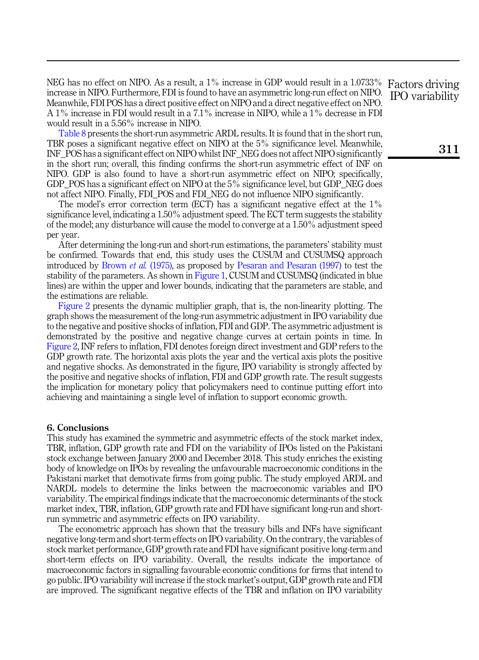NEG has no effect on NIPO. As a result, a 1% increase in GDP would result in a 1.0733% increase in NIPO. Furthermore, FDI is found to have an asymmetric long-run effect on NIPO. Meanwhile, FDI POS has a direct positive effect on NIPO and a direct negative effect on NPO. A 1% increase in FDI would result in a 7.1% increase in NIPO, while a 1% decrease in FDI would result in a 5.56% increase in NIPO.

[Table 8](#page-10-0) presents the short-run asymmetric ARDL results. It is found that in the short run, TBR poses a significant negative effect on NIPO at the 5% significance level. Meanwhile, INF\_POS has a significant effect on NIPO whilst INF\_NEG does not affect NIPO significantly in the short run; overall, this finding confirms the short-run asymmetric effect of INF on NIPO. GDP is also found to have a short-run asymmetric effect on NIPO; specifically, GDP\_POS has a significant effect on NIPO at the 5% significance level, but GDP\_NEG does not affect NIPO. Finally, FDI\_POS and FDI\_NEG do not influence NIPO significantly.

The model's error correction term (ECT) has a significant negative effect at the 1% significance level, indicating a 1.50% adjustment speed. The ECT term suggests the stability of the model; any disturbance will cause the model to converge at a 1.50% adjustment speed per year.

After determining the long-run and short-run estimations, the parameters' stability must be confirmed. Towards that end, this study uses the CUSUM and CUSUMSQ approach introduced by [Brown](#page-14-13) et al. (1975), as proposed by [Pesaran and Pesaran \(1997\)](#page-16-13) to test the stability of the parameters. As shown in [Figure 1](#page-12-0), CUSUM and CUSUMSQ (indicated in blue lines) are within the upper and lower bounds, indicating that the parameters are stable, and the estimations are reliable.

[Figure 2](#page-13-0) presents the dynamic multiplier graph, that is, the non-linearity plotting. The graph shows the measurement of the long-run asymmetric adjustment in IPO variability due to the negative and positive shocks of inflation, FDI and GDP. The asymmetric adjustment is demonstrated by the positive and negative change curves at certain points in time. In [Figure 2,](#page-13-0) INF refers to inflation, FDI denotes foreign direct investment and GDP refers to the GDP growth rate. The horizontal axis plots the year and the vertical axis plots the positive and negative shocks. As demonstrated in the figure, IPO variability is strongly affected by the positive and negative shocks of inflation, FDI and GDP growth rate. The result suggests the implication for monetary policy that policymakers need to continue putting effort into achieving and maintaining a single level of inflation to support economic growth.

#### 6. Conclusions

This study has examined the symmetric and asymmetric effects of the stock market index, TBR, inflation, GDP growth rate and FDI on the variability of IPOs listed on the Pakistani stock exchange between January 2000 and December 2018. This study enriches the existing body of knowledge on IPOs by revealing the unfavourable macroeconomic conditions in the Pakistani market that demotivate firms from going public. The study employed ARDL and NARDL models to determine the links between the macroeconomic variables and IPO variability. The empirical findings indicate that the macroeconomic determinants of the stock market index, TBR, inflation, GDP growth rate and FDI have significant long-run and shortrun symmetric and asymmetric effects on IPO variability.

The econometric approach has shown that the treasury bills and INFs have significant negative long-term and short-term effects on IPO variability. On the contrary, the variables of stock market performance, GDP growth rate and FDI have significant positive long-term and short-term effects on IPO variability. Overall, the results indicate the importance of macroeconomic factors in signalling favourable economic conditions for firms that intend to go public. IPO variability will increase if the stock market's output, GDP growth rate and FDI are improved. The significant negative effects of the TBR and inflation on IPO variability

Factors driving IPO variability

311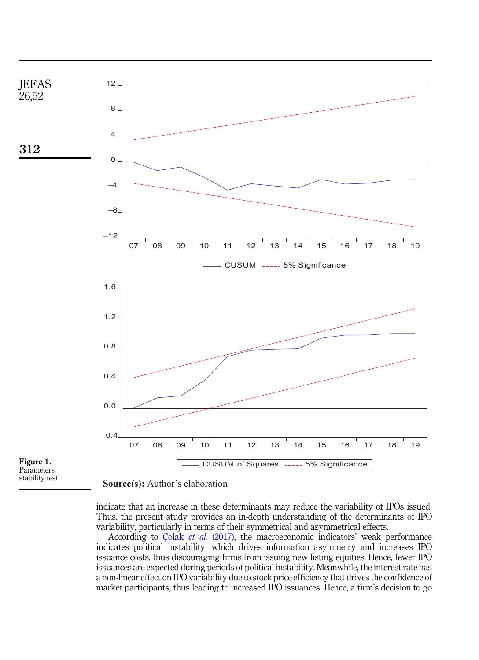<span id="page-12-0"></span>



indicate that an increase in these determinants may reduce the variability of IPOs issued. Thus, the present study provides an in-depth understanding of the determinants of IPO variability, particularly in terms of their symmetrical and asymmetrical effects.

According to Çolak et al. [\(2017\)](#page-15-22), the macroeconomic indicators' weak performance indicates political instability, which drives information asymmetry and increases IPO issuance costs, thus discouraging firms from issuing new listing equities. Hence, fewer IPO issuances are expected during periods of political instability. Meanwhile, the interest rate has a non-linear effect on IPO variability due to stock price efficiency that drives the confidence of market participants, thus leading to increased IPO issuances. Hence, a firm's decision to go

**Source(s):** Author's elaboration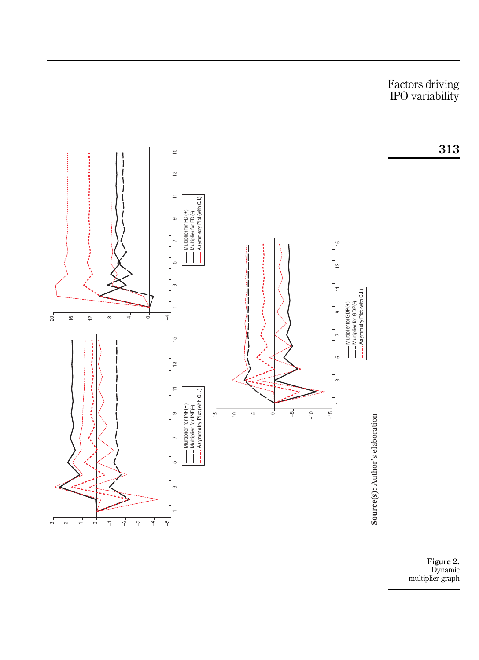<span id="page-13-0"></span>

Figure 2. Dynamic multiplier graph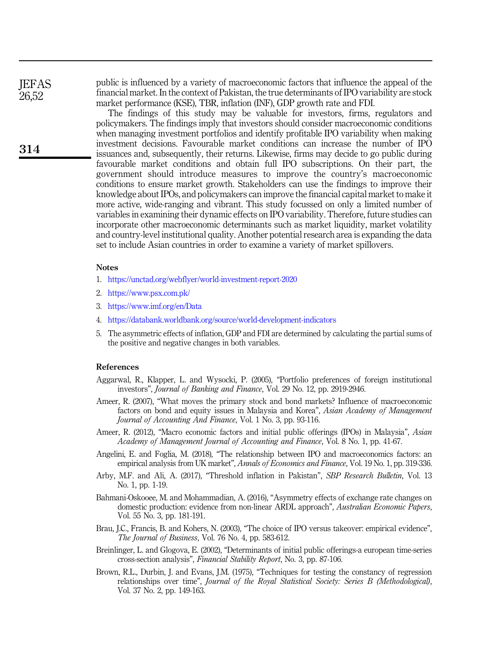**JEFAS** 26,52

314

public is influenced by a variety of macroeconomic factors that influence the appeal of the financial market. In the context of Pakistan, the true determinants of IPO variability are stock market performance (KSE), TBR, inflation (INF), GDP growth rate and FDI.

The findings of this study may be valuable for investors, firms, regulators and policymakers. The findings imply that investors should consider macroeconomic conditions when managing investment portfolios and identify profitable IPO variability when making investment decisions. Favourable market conditions can increase the number of IPO issuances and, subsequently, their returns. Likewise, firms may decide to go public during favourable market conditions and obtain full IPO subscriptions. On their part, the government should introduce measures to improve the country's macroeconomic conditions to ensure market growth. Stakeholders can use the findings to improve their knowledge about IPOs, and policymakers can improve the financial capital market to make it more active, wide-ranging and vibrant. This study focussed on only a limited number of variables in examining their dynamic effects on IPO variability. Therefore, future studies can incorporate other macroeconomic determinants such as market liquidity, market volatility and country-level institutional quality. Another potential research area is expanding the data set to include Asian countries in order to examine a variety of market spillovers.

#### **Notes**

- <span id="page-14-4"></span>1. <https://unctad.org/webflyer/world-investment-report-2020>
- <span id="page-14-6"></span>2. <https://www.psx.com.pk/>
- <span id="page-14-7"></span>3. <https://www.imf.org/en/Data>
- <span id="page-14-8"></span>4. <https://databank.worldbank.org/source/world-development-indicators>
- <span id="page-14-9"></span>5. The asymmetric effects of inflation, GDP and FDI are determined by calculating the partial sums of the positive and negative changes in both variables.

#### References

- <span id="page-14-5"></span>Aggarwal, R., Klapper, L. and Wysocki, P. (2005), "Portfolio preferences of foreign institutional investors", Journal of Banking and Finance, Vol. 29 No. 12, pp. 2919-2946.
- <span id="page-14-3"></span>Ameer, R. (2007), "What moves the primary stock and bond markets? Influence of macroeconomic factors on bond and equity issues in Malaysia and Korea", Asian Academy of Management Journal of Accounting And Finance, Vol. 1 No. 3, pp. 93-116.
- <span id="page-14-0"></span>Ameer, R. (2012), "Macro economic factors and initial public offerings (IPOs) in Malaysia", Asian Academy of Management Journal of Accounting and Finance, Vol. 8 No. 1, pp. 41-67.
- <span id="page-14-1"></span>Angelini, E. and Foglia, M. (2018), "The relationship between IPO and macroeconomics factors: an empirical analysis from UK market", Annals of Economics and Finance, Vol. 19 No. 1, pp. 319-336.
- <span id="page-14-10"></span>Arby, M.F. and Ali, A. (2017), "Threshold inflation in Pakistan", SBP Research Bulletin, Vol. 13 No. 1, pp. 1-19.
- <span id="page-14-11"></span>Bahmani-Oskooee, M. and Mohammadian, A. (2016), "Asymmetry effects of exchange rate changes on domestic production: evidence from non-linear ARDL approach", Australian Economic Papers, Vol. 55 No. 3, pp. 181-191.
- <span id="page-14-2"></span>Brau, J.C., Francis, B. and Kohers, N. (2003), "The choice of IPO versus takeover: empirical evidence", The Journal of Business, Vol. 76 No. 4, pp. 583-612.
- <span id="page-14-12"></span>Breinlinger, L. and Glogova, E. (2002), "Determinants of initial public offerings-a european time-series cross-section analysis", Financial Stability Report, No. 3, pp. 87-106.
- <span id="page-14-13"></span>Brown, R.L., Durbin, J. and Evans, J.M. (1975), "Techniques for testing the constancy of regression relationships over time", Journal of the Royal Statistical Society: Series B (Methodological), Vol. 37 No. 2, pp. 149-163.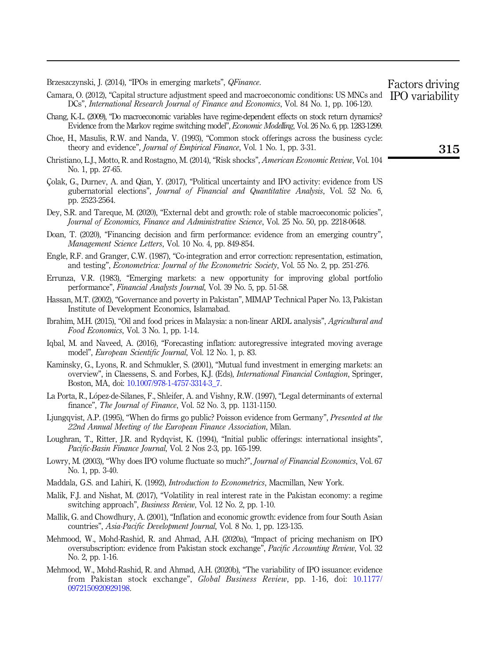<span id="page-15-4"></span>Brzeszczynski, J. (2014), "IPOs in emerging markets", QFinance.

- <span id="page-15-9"></span>Camara, O. (2012), "Capital structure adjustment speed and macroeconomic conditions: US MNCs and DCs", International Research Journal of Finance and Economics, Vol. 84 No. 1, pp. 106-120. IPO variability
- <span id="page-15-6"></span>Chang, K.-L. (2009), "Do macroeconomic variables have regime-dependent effects on stock return dynamics? Evidence from the Markov regime switching model", Economic Modelling, Vol. 26 No. 6, pp. 1283-1299.
- <span id="page-15-18"></span>Choe, H., Masulis, R.W. and Nanda, V. (1993), "Common stock offerings across the business cycle: theory and evidence", Journal of Empirical Finance, Vol. 1 No. 1, pp. 3-31.
- <span id="page-15-1"></span>Christiano, L.J., Motto, R. and Rostagno, M. (2014), "Risk shocks", American Economic Review, Vol. 104 No. 1, pp. 27-65.
- <span id="page-15-22"></span>Çolak, G., Durnev, A. and Qian, Y. (2017), "Political uncertainty and IPO activity: evidence from US gubernatorial elections", Journal of Financial and Quantitative Analysis, Vol. 52 No. 6, pp. 2523-2564.
- <span id="page-15-8"></span>Dey, S.R. and Tareque, M. (2020), "External debt and growth: role of stable macroeconomic policies", Journal of Economics, Finance and Administrative Science, Vol. 25 No. 50, pp. 2218-0648.
- <span id="page-15-21"></span>Doan, T. (2020), "Financing decision and firm performance: evidence from an emerging country", Management Science Letters, Vol. 10 No. 4, pp. 849-854.
- <span id="page-15-15"></span>Engle, R.F. and Granger, C.W. (1987), "Co-integration and error correction: representation, estimation, and testing", Econometrica: Journal of the Econometric Society, Vol. 55 No. 2, pp. 251-276.
- <span id="page-15-19"></span>Errunza, V.R. (1983), "Emerging markets: a new opportunity for improving global portfolio performance", Financial Analysts Journal, Vol. 39 No. 5, pp. 51-58.
- <span id="page-15-12"></span>Hassan, M.T. (2002), "Governance and poverty in Pakistan", MIMAP Technical Paper No. 13, Pakistan Institute of Development Economics, Islamabad.
- <span id="page-15-14"></span>Ibrahim, M.H. (2015), "Oil and food prices in Malaysia: a non-linear ARDL analysis", Agricultural and Food Economics, Vol. 3 No. 1, pp. 1-14.
- <span id="page-15-7"></span>Iqbal, M. and Naveed, A. (2016), "Forecasting inflation: autoregressive integrated moving average model", European Scientific Journal, Vol. 12 No. 1, p. 83.
- <span id="page-15-11"></span>Kaminsky, G., Lyons, R. and Schmukler, S. (2001), "Mutual fund investment in emerging markets: an overview", in Claessens, S. and Forbes, K.J. (Eds), International Financial Contagion, Springer, Boston, MA, doi: [10.1007/978-1-4757-3314-3\\_7.](https://doi.org/10.1007/978-1-4757-3314-3_7)
- <span id="page-15-10"></span>La Porta, R., López-de-Silanes, F., Shleifer, A. and Vishny, R.W. (1997), "Legal determinants of external finance", *The Journal of Finance*, Vol. 52 No. 3, pp. 1131-1150.
- <span id="page-15-2"></span>Ljungqvist, A.P. (1995), "When do firms go public? Poisson evidence from Germany", *Presented at the* 22nd Annual Meeting of the European Finance Association, Milan.
- <span id="page-15-3"></span>Loughran, T., Ritter, J.R. and Rydqvist, K. (1994), "Initial public offerings: international insights", Pacific-Basin Finance Journal, Vol. 2 Nos 2-3, pp. 165-199.
- <span id="page-15-0"></span>Lowry, M. (2003), "Why does IPO volume fluctuate so much?", *Journal of Financial Economics*, Vol. 67 No. 1, pp. 3-40.
- <span id="page-15-17"></span>Maddala, G.S. and Lahiri, K. (1992), Introduction to Econometrics, Macmillan, New York.
- <span id="page-15-16"></span>Malik, F.J. and Nishat, M. (2017), "Volatility in real interest rate in the Pakistan economy: a regime switching approach", Business Review, Vol. 12 No. 2, pp. 1-10.
- <span id="page-15-20"></span>Mallik, G. and Chowdhury, A. (2001), "Inflation and economic growth: evidence from four South Asian countries", Asia-Pacific Development Journal, Vol. 8 No. 1, pp. 123-135.
- <span id="page-15-13"></span>Mehmood, W., Mohd-Rashid, R. and Ahmad, A.H. (2020a), "Impact of pricing mechanism on IPO oversubscription: evidence from Pakistan stock exchange", Pacific Accounting Review, Vol. 32 No. 2, pp. 1-16.
- <span id="page-15-5"></span>Mehmood, W., Mohd-Rashid, R. and Ahmad, A.H. (2020b), "The variability of IPO issuance: evidence from Pakistan stock exchange", Global Business Review, pp. 1-16, doi: [10.1177/](https://doi.org/10.1177/0972150920929198) [0972150920929198.](https://doi.org/10.1177/0972150920929198)

315

Factors driving